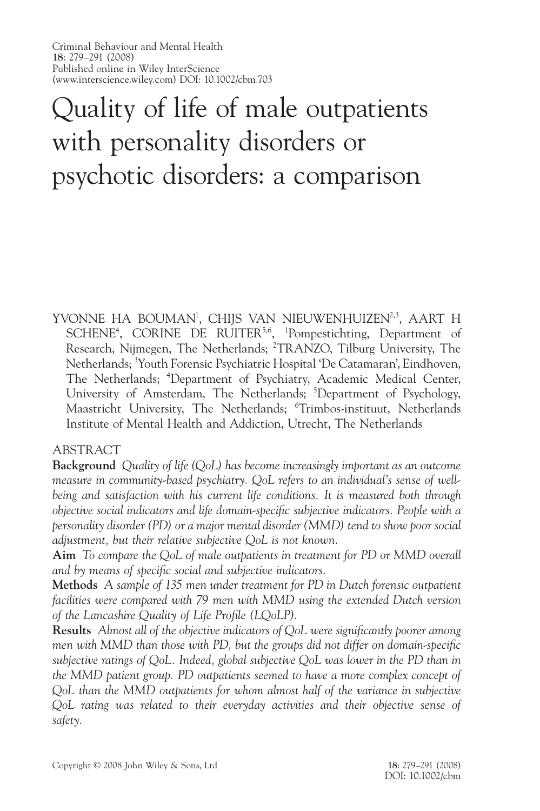# Quality of life of male outpatients with personality disorders or psychotic disorders: a comparison

YVONNE HA BOUMAN<sup>1</sup>, CHIJS VAN NIEUWENHUIZEN<sup>2,3</sup>, AART H SCHENE<sup>4</sup>, CORINE DE RUITER<sup>5,6</sup>, <sup>1</sup>Pompestichting, Department of Research, Nijmegen, The Netherlands; <sup>2</sup>TRANZO, Tilburg University, The Netherlands; <sup>3</sup>Youth Forensic Psychiatric Hospital 'De Catamaran', Eindhoven, The Netherlands; <sup>4</sup>Department of Psychiatry, Academic Medical Center, University of Amsterdam, The Netherlands; <sup>5</sup>Department of Psychology, Maastricht University, The Netherlands; <sup>6</sup>Trimbos-instituut, Netherlands Institute of Mental Health and Addiction, Utrecht, The Netherlands

# ABSTRACT

**Background** *Quality of life (QoL) has become increasingly important as an outcome measure in community-based psychiatry. QoL refers to an individual's sense of wellbeing and satisfaction with his current life conditions. It is measured both through objective social indicators and life domain-specifi c subjective indicators. People with a personality disorder (PD) or a major mental disorder (MMD) tend to show poor social adjustment, but their relative subjective QoL is not known.*

**Aim** *To compare the QoL of male outpatients in treatment for PD or MMD overall*  and by means of specific social and subjective indicators.

**Methods** *A sample of 135 men under treatment for PD in Dutch forensic outpatient facilities were compared with 79 men with MMD using the extended Dutch version of the Lancashire Quality of Life Profile (LQoLP).*

**Results** Almost all of the objective indicators of *QoL* were significantly poorer among men with MMD than those with PD, but the groups did not differ on domain-specific *subjective ratings of QoL. Indeed, global subjective QoL was lower in the PD than in the MMD patient group. PD outpatients seemed to have a more complex concept of QoL than the MMD outpatients for whom almost half of the variance in subjective QoL rating was related to their everyday activities and their objective sense of safety.*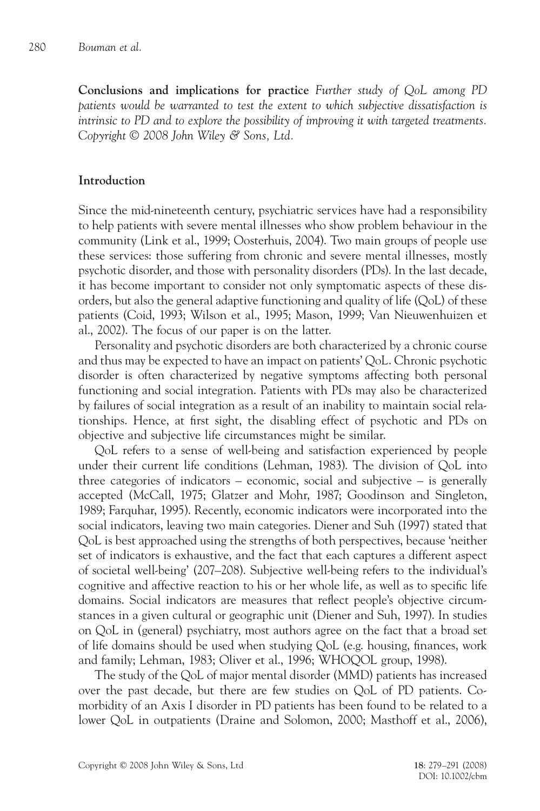**Conclusions and implications for practice** *Further study of QoL among PD patients would be warranted to test the extent to which subjective dissatisfaction is intrinsic to PD and to explore the possibility of improving it with targeted treatments. Copyright © 2008 John Wiley & Sons, Ltd.*

## **Introduction**

Since the mid-nineteenth century, psychiatric services have had a responsibility to help patients with severe mental illnesses who show problem behaviour in the community (Link et al., 1999; Oosterhuis, 2004). Two main groups of people use these services: those suffering from chronic and severe mental illnesses, mostly psychotic disorder, and those with personality disorders (PDs). In the last decade, it has become important to consider not only symptomatic aspects of these disorders, but also the general adaptive functioning and quality of life (QoL) of these patients (Coid, 1993; Wilson et al., 1995; Mason, 1999; Van Nieuwenhuizen et al., 2002). The focus of our paper is on the latter.

Personality and psychotic disorders are both characterized by a chronic course and thus may be expected to have an impact on patients' QoL. Chronic psychotic disorder is often characterized by negative symptoms affecting both personal functioning and social integration. Patients with PDs may also be characterized by failures of social integration as a result of an inability to maintain social relationships. Hence, at first sight, the disabling effect of psychotic and PDs on objective and subjective life circumstances might be similar.

QoL refers to a sense of well-being and satisfaction experienced by people under their current life conditions (Lehman, 1983). The division of QoL into three categories of indicators – economic, social and subjective – is generally accepted (McCall, 1975; Glatzer and Mohr, 1987; Goodinson and Singleton, 1989; Farquhar, 1995). Recently, economic indicators were incorporated into the social indicators, leaving two main categories. Diener and Suh (1997) stated that QoL is best approached using the strengths of both perspectives, because 'neither set of indicators is exhaustive, and the fact that each captures a different aspect of societal well-being' (207–208). Subjective well-being refers to the individual's cognitive and affective reaction to his or her whole life, as well as to specific life domains. Social indicators are measures that reflect people's objective circumstances in a given cultural or geographic unit (Diener and Suh, 1997). In studies on QoL in (general) psychiatry, most authors agree on the fact that a broad set of life domains should be used when studying  $QoL$  (e.g. housing, finances, work and family; Lehman, 1983; Oliver et al., 1996; WHOQOL group, 1998).

The study of the QoL of major mental disorder (MMD) patients has increased over the past decade, but there are few studies on QoL of PD patients. Comorbidity of an Axis I disorder in PD patients has been found to be related to a lower QoL in outpatients (Draine and Solomon, 2000; Masthoff et al., 2006),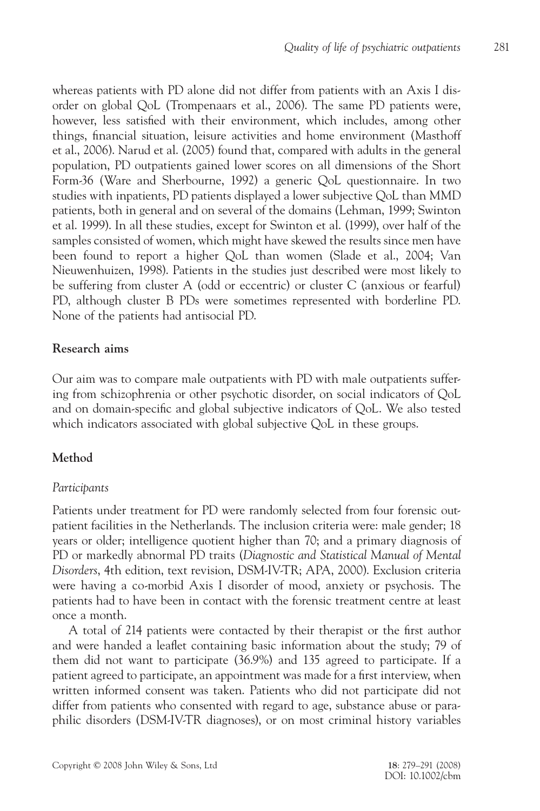whereas patients with PD alone did not differ from patients with an Axis I disorder on global QoL (Trompenaars et al., 2006). The same PD patients were, however, less satisfied with their environment, which includes, among other things, financial situation, leisure activities and home environment (Masthoff et al., 2006). Narud et al. (2005) found that, compared with adults in the general population, PD outpatients gained lower scores on all dimensions of the Short Form-36 (Ware and Sherbourne, 1992) a generic QoL questionnaire. In two studies with inpatients, PD patients displayed a lower subjective QoL than MMD patients, both in general and on several of the domains (Lehman, 1999; Swinton et al. 1999). In all these studies, except for Swinton et al. (1999), over half of the samples consisted of women, which might have skewed the results since men have been found to report a higher QoL than women (Slade et al., 2004; Van Nieuwenhuizen, 1998). Patients in the studies just described were most likely to be suffering from cluster A (odd or eccentric) or cluster C (anxious or fearful) PD, although cluster B PDs were sometimes represented with borderline PD. None of the patients had antisocial PD.

## **Research aims**

Our aim was to compare male outpatients with PD with male outpatients suffering from schizophrenia or other psychotic disorder, on social indicators of QoL and on domain-specific and global subjective indicators of QoL. We also tested which indicators associated with global subjective QoL in these groups.

# **Method**

# *Participants*

Patients under treatment for PD were randomly selected from four forensic outpatient facilities in the Netherlands. The inclusion criteria were: male gender; 18 years or older; intelligence quotient higher than 70; and a primary diagnosis of PD or markedly abnormal PD traits (*Diagnostic and Statistical Manual of Mental Disorders*, 4th edition, text revision, DSM-IV-TR; APA, 2000). Exclusion criteria were having a co-morbid Axis I disorder of mood, anxiety or psychosis. The patients had to have been in contact with the forensic treatment centre at least once a month.

A total of 214 patients were contacted by their therapist or the first author and were handed a leaflet containing basic information about the study; 79 of them did not want to participate (36.9%) and 135 agreed to participate. If a patient agreed to participate, an appointment was made for a first interview, when written informed consent was taken. Patients who did not participate did not differ from patients who consented with regard to age, substance abuse or paraphilic disorders (DSM-IV-TR diagnoses), or on most criminal history variables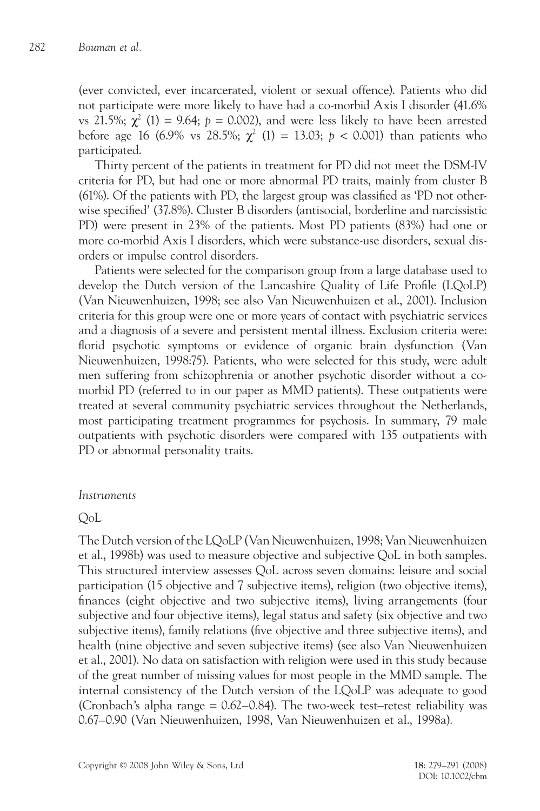(ever convicted, ever incarcerated, violent or sexual offence). Patients who did not participate were more likely to have had a co-morbid Axis I disorder (41.6% vs 21.5%;  $\chi^2$  (1) = 9.64;  $p = 0.002$ ), and were less likely to have been arrested before age 16 (6.9% vs 28.5%;  $\chi^2$  (1) = 13.03; *p* < 0.001) than patients who participated.

Thirty percent of the patients in treatment for PD did not meet the DSM-IV criteria for PD, but had one or more abnormal PD traits, mainly from cluster B (61%). Of the patients with PD, the largest group was classified as 'PD not otherwise specified' (37.8%). Cluster B disorders (antisocial, borderline and narcissistic PD) were present in 23% of the patients. Most PD patients (83%) had one or more co-morbid Axis I disorders, which were substance-use disorders, sexual disorders or impulse control disorders.

Patients were selected for the comparison group from a large database used to develop the Dutch version of the Lancashire Quality of Life Profile (LQoLP) (Van Nieuwenhuizen, 1998; see also Van Nieuwenhuizen et al., 2001). Inclusion criteria for this group were one or more years of contact with psychiatric services and a diagnosis of a severe and persistent mental illness. Exclusion criteria were: florid psychotic symptoms or evidence of organic brain dysfunction (Van Nieuwenhuizen, 1998:75). Patients, who were selected for this study, were adult men suffering from schizophrenia or another psychotic disorder without a comorbid PD (referred to in our paper as MMD patients). These outpatients were treated at several community psychiatric services throughout the Netherlands, most participating treatment programmes for psychosis. In summary, 79 male outpatients with psychotic disorders were compared with 135 outpatients with PD or abnormal personality traits.

#### *Instruments*

## QoL

The Dutch version of the LQoLP (Van Nieuwenhuizen, 1998; Van Nieuwenhuizen et al., 1998b) was used to measure objective and subjective QoL in both samples. This structured interview assesses QoL across seven domains: leisure and social participation (15 objective and 7 subjective items), religion (two objective items), finances (eight objective and two subjective items), living arrangements (four subjective and four objective items), legal status and safety (six objective and two subjective items), family relations (five objective and three subjective items), and health (nine objective and seven subjective items) (see also Van Nieuwenhuizen et al., 2001). No data on satisfaction with religion were used in this study because of the great number of missing values for most people in the MMD sample. The internal consistency of the Dutch version of the LQoLP was adequate to good (Cronbach's alpha range = 0.62–0.84). The two-week test–retest reliability was 0.67–0.90 (Van Nieuwenhuizen, 1998, Van Nieuwenhuizen et al., 1998a).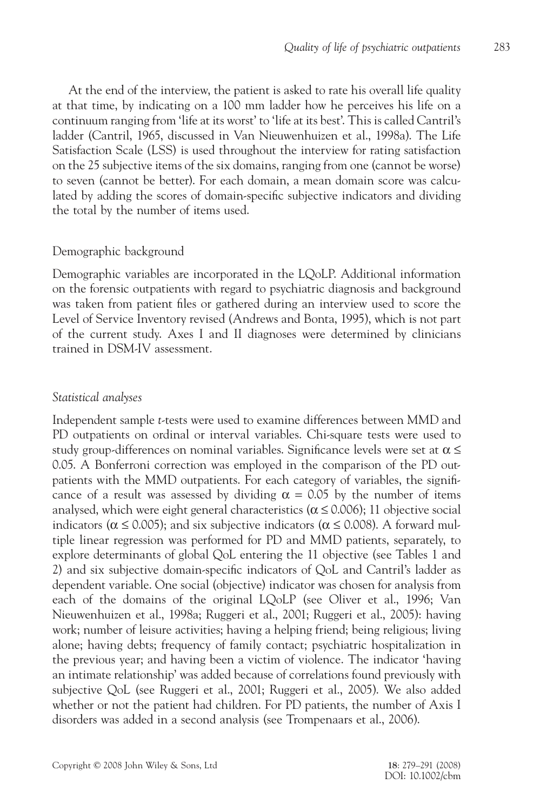At the end of the interview, the patient is asked to rate his overall life quality at that time, by indicating on a 100 mm ladder how he perceives his life on a continuum ranging from 'life at its worst' to 'life at its best'. This is called Cantril's ladder (Cantril, 1965, discussed in Van Nieuwenhuizen et al., 1998a). The Life Satisfaction Scale (LSS) is used throughout the interview for rating satisfaction on the 25 subjective items of the six domains, ranging from one (cannot be worse) to seven (cannot be better). For each domain, a mean domain score was calculated by adding the scores of domain-specific subjective indicators and dividing the total by the number of items used.

#### Demographic background

Demographic variables are incorporated in the LQoLP. Additional information on the forensic outpatients with regard to psychiatric diagnosis and background was taken from patient files or gathered during an interview used to score the Level of Service Inventory revised (Andrews and Bonta, 1995), which is not part of the current study. Axes I and II diagnoses were determined by clinicians trained in DSM-IV assessment.

#### *Statistical analyses*

Independent sample *t*-tests were used to examine differences between MMD and PD outpatients on ordinal or interval variables. Chi-square tests were used to study group-differences on nominal variables. Significance levels were set at  $\alpha \leq$ 0.05. A Bonferroni correction was employed in the comparison of the PD outpatients with the MMD outpatients. For each category of variables, the significance of a result was assessed by dividing  $\alpha = 0.05$  by the number of items analysed, which were eight general characteristics ( $\alpha \le 0.006$ ); 11 objective social indicators ( $\alpha \le 0.005$ ); and six subjective indicators ( $\alpha \le 0.008$ ). A forward multiple linear regression was performed for PD and MMD patients, separately, to explore determinants of global QoL entering the 11 objective (see Tables 1 and 2) and six subjective domain-specific indicators of QoL and Cantril's ladder as dependent variable. One social (objective) indicator was chosen for analysis from each of the domains of the original LQoLP (see Oliver et al., 1996; Van Nieuwenhuizen et al., 1998a; Ruggeri et al., 2001; Ruggeri et al., 2005): having work; number of leisure activities; having a helping friend; being religious; living alone; having debts; frequency of family contact; psychiatric hospitalization in the previous year; and having been a victim of violence. The indicator 'having an intimate relationship' was added because of correlations found previously with subjective QoL (see Ruggeri et al., 2001; Ruggeri et al., 2005). We also added whether or not the patient had children. For PD patients, the number of Axis I disorders was added in a second analysis (see Trompenaars et al., 2006).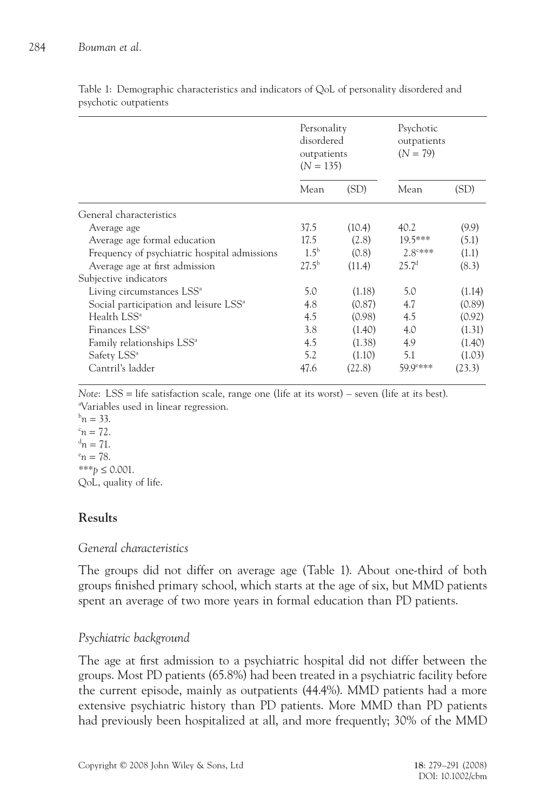|                                                   | Personality<br>disordered<br>outpatients<br>$(N = 135)$ |        | Psychotic<br>outpatients<br>$(N = 79)$ |        |
|---------------------------------------------------|---------------------------------------------------------|--------|----------------------------------------|--------|
|                                                   | Mean                                                    | (SD)   | Mean                                   | (SD)   |
| General characteristics                           |                                                         |        |                                        |        |
| Average age                                       | 37.5                                                    | (10.4) | 40.2                                   | (9.9)  |
| Average age formal education                      | 17.5                                                    | (2.8)  | $19.5***$                              | (5.1)  |
| Frequency of psychiatric hospital admissions      | $1.5^{\rm b}$                                           | (0.8)  | $2.8$ <sup>c***</sup>                  | (1.1)  |
| Average age at first admission                    | $27.5^{\rm b}$                                          | (11.4) | 25.7 <sup>d</sup>                      | (8.3)  |
| Subjective indicators                             |                                                         |        |                                        |        |
| Living circumstances LSS <sup>a</sup>             | 5.0                                                     | (1.18) | 5.0                                    | (1.14) |
| Social participation and leisure LSS <sup>a</sup> | 4.8                                                     | (0.87) | 4.7                                    | (0.89) |
| Health LSS <sup>a</sup>                           | 4.5                                                     | (0.98) | 4.5                                    | (0.92) |
| Finances LSS <sup>a</sup>                         | 3.8                                                     | (1.40) | 4.0                                    | (1.31) |
| Family relationships LSS <sup>a</sup>             | 4.5                                                     | (1.38) | 4.9                                    | (1.40) |
| Safety LSS <sup>a</sup>                           | 5.2                                                     | (1.10) | 5.1                                    | (1.03) |
| Cantril's ladder                                  | 47.6                                                    | (22.8) | 59.9e***                               | (23.3) |

Table 1: Demographic characteristics and indicators of QoL of personality disordered and psychotic outpatients

*Note*: LSS = life satisfaction scale, range one (life at its worst) – seven (life at its best). a Variables used in linear regression.

 $^{b}n = 33.$  $c_n = 72.$  $n = 71.$  $e_n = 78.$ \*\*\**p* ≤ 0.001. QoL, quality of life.

# **Results**

# *General characteristics*

The groups did not differ on average age (Table 1). About one-third of both groups fi nished primary school, which starts at the age of six, but MMD patients spent an average of two more years in formal education than PD patients.

# *Psychiatric background*

The age at first admission to a psychiatric hospital did not differ between the groups. Most PD patients (65.8%) had been treated in a psychiatric facility before the current episode, mainly as outpatients (44.4%). MMD patients had a more extensive psychiatric history than PD patients. More MMD than PD patients had previously been hospitalized at all, and more frequently; 30% of the MMD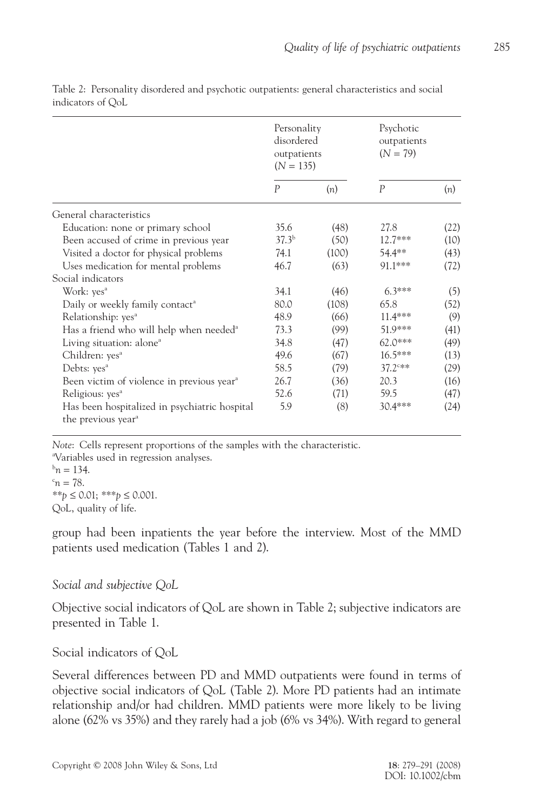|                                                                                 | Personality<br>disordered<br>outpatients<br>$(N = 135)$ |       | Psychotic<br>outpatients<br>$(N = 79)$ |      |
|---------------------------------------------------------------------------------|---------------------------------------------------------|-------|----------------------------------------|------|
|                                                                                 | P                                                       | (n)   | P                                      | (n)  |
| General characteristics                                                         |                                                         |       |                                        |      |
| Education: none or primary school                                               | 35.6                                                    | (48)  | 27.8                                   | (22) |
| Been accused of crime in previous year                                          | $37.3^{b}$                                              | (50)  | $12.7***$                              | (10) |
| Visited a doctor for physical problems                                          | 74.1                                                    | (100) | 54.4**                                 | (43) |
| Uses medication for mental problems                                             | 46.7                                                    | (63)  | 91.1***                                | (72) |
| Social indicators                                                               |                                                         |       |                                        |      |
| Work: yes <sup>a</sup>                                                          | 34.1                                                    | (46)  | $6.3***$                               | (5)  |
| Daily or weekly family contact <sup>a</sup>                                     | 80.0                                                    | (108) | 65.8                                   | (52) |
| Relationship: yes <sup>a</sup>                                                  | 48.9                                                    | (66)  | $11.4***$                              | (9)  |
| Has a friend who will help when needed <sup>a</sup>                             | 73.3                                                    | (99)  | 51.9***                                | (41) |
| Living situation: alone <sup>a</sup>                                            | 34.8                                                    | (47)  | 62.0***                                | (49) |
| Children: yes <sup>a</sup>                                                      | 49.6                                                    | (67)  | $16.5***$                              | (13) |
| Debts: yes <sup>a</sup>                                                         | 58.5                                                    | (79)  | 37.2**                                 | (29) |
| Been victim of violence in previous year <sup>a</sup>                           | 26.7                                                    | (36)  | 20.3                                   | (16) |
| Religious: yes <sup>a</sup>                                                     | 52.6                                                    | (71)  | 59.5                                   | (47) |
| Has been hospitalized in psychiatric hospital<br>the previous year <sup>a</sup> | 5.9                                                     | (8)   | 30.4***                                | (24) |

Table 2: Personality disordered and psychotic outpatients: general characteristics and social indicators of QoL

*Note*: Cells represent proportions of the samples with the characteristic.

a Variables used in regression analyses.

 $^{b}n = 134.$  $c_n = 78.$ \*\**p* ≤ 0.01; \*\*\**p* ≤ 0.001. QoL, quality of life.

group had been inpatients the year before the interview. Most of the MMD patients used medication (Tables 1 and 2).

## *Social and subjective QoL*

Objective social indicators of QoL are shown in Table 2; subjective indicators are presented in Table 1.

## Social indicators of QoL

Several differences between PD and MMD outpatients were found in terms of objective social indicators of QoL (Table 2). More PD patients had an intimate relationship and/or had children. MMD patients were more likely to be living alone (62% vs 35%) and they rarely had a job (6% vs 34%). With regard to general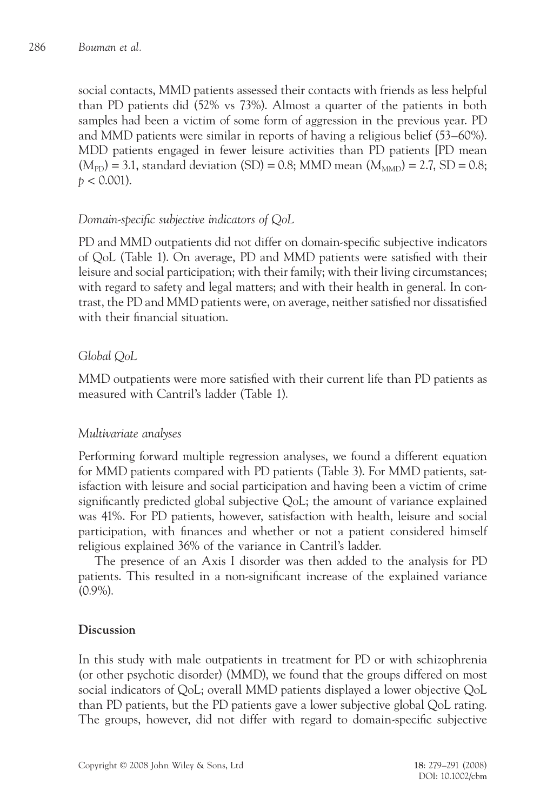social contacts, MMD patients assessed their contacts with friends as less helpful than PD patients did (52% vs 73%). Almost a quarter of the patients in both samples had been a victim of some form of aggression in the previous year. PD and MMD patients were similar in reports of having a religious belief (53–60%). MDD patients engaged in fewer leisure activities than PD patients [PD mean  $(M_{PD}) = 3.1$ , standard deviation (SD) = 0.8; MMD mean  $(M_{MMD}) = 2.7$ , SD = 0.8;  $p < 0.001$ ).

# *Domain-specific subjective indicators of QoL*

PD and MMD outpatients did not differ on domain-specific subjective indicators of QoL (Table 1). On average, PD and MMD patients were satisfied with their leisure and social participation; with their family; with their living circumstances; with regard to safety and legal matters; and with their health in general. In contrast, the PD and MMD patients were, on average, neither satisfied nor dissatisfied with their financial situation.

## *Global QoL*

MMD outpatients were more satisfied with their current life than PD patients as measured with Cantril's ladder (Table 1).

## *Multivariate analyses*

Performing forward multiple regression analyses, we found a different equation for MMD patients compared with PD patients (Table 3). For MMD patients, satisfaction with leisure and social participation and having been a victim of crime significantly predicted global subjective  $QoL$ ; the amount of variance explained was 41%. For PD patients, however, satisfaction with health, leisure and social participation, with finances and whether or not a patient considered himself religious explained 36% of the variance in Cantril's ladder.

The presence of an Axis I disorder was then added to the analysis for PD patients. This resulted in a non-significant increase of the explained variance (0.9%).

## **Discussion**

In this study with male outpatients in treatment for PD or with schizophrenia (or other psychotic disorder) (MMD), we found that the groups differed on most social indicators of QoL; overall MMD patients displayed a lower objective QoL than PD patients, but the PD patients gave a lower subjective global QoL rating. The groups, however, did not differ with regard to domain-specific subjective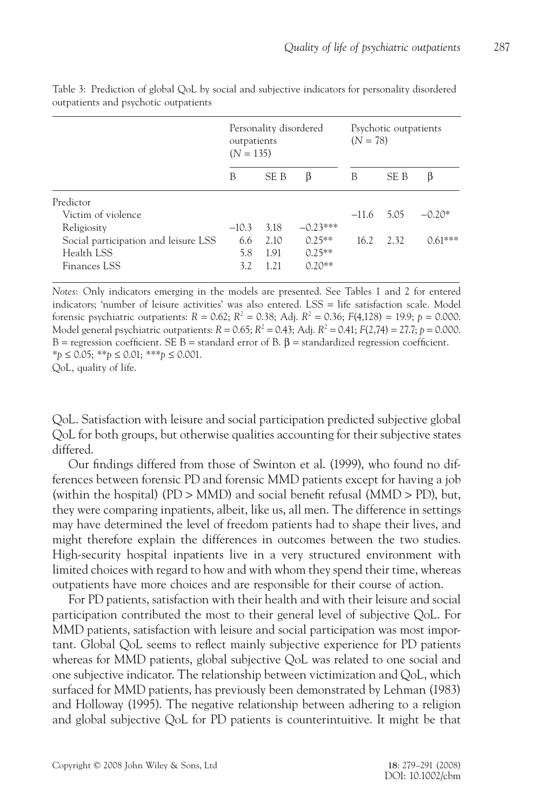|                                      | Personality disordered<br>outpatients<br>$(N = 135)$ |      | Psychotic outpatients<br>$(N = 78)$ |              |      |           |
|--------------------------------------|------------------------------------------------------|------|-------------------------------------|--------------|------|-----------|
|                                      | B                                                    | SE B | β                                   | В            | SE B | β         |
| Predictor                            |                                                      |      |                                     |              |      |           |
| Victim of violence                   |                                                      |      |                                     | $-11.6$ 5.05 |      | $-0.20*$  |
| Religiosity                          | $-10.3$                                              | 3.18 | $-0.23***$                          |              |      |           |
| Social participation and leisure LSS | 6.6                                                  | 2.10 | $0.25**$                            | 16.2         | 2.32 | $0.61***$ |
| Health LSS                           | 5.8                                                  | 1.91 | $0.25**$                            |              |      |           |
| Finances LSS                         | 3.2                                                  | 1.21 | $0.20**$                            |              |      |           |

Table 3: Prediction of global QoL by social and subjective indicators for personality disordered outpatients and psychotic outpatients

*Notes*: Only indicators emerging in the models are presented. See Tables 1 and 2 for entered indicators; 'number of leisure activities' was also entered. LSS = life satisfaction scale. Model forensic psychiatric outpatients:  $R = 0.62$ ;  $R^2 = 0.38$ ; Adj.  $R^2 = 0.36$ ;  $F(4,128) = 19.9$ ;  $p = 0.000$ . Model general psychiatric outpatients:  $R = 0.65$ ;  $R^2 = 0.43$ ; Adj.  $R^2 = 0.41$ ;  $F(2,74) = 27.7$ ;  $p = 0.000$ . B = regression coefficient. SE B = standard error of B.  $\beta$  = standardized regression coefficient. \**p* ≤ 0.05; \*\**p* ≤ 0.01; \*\*\**p* ≤ 0.001. QoL, quality of life.

QoL. Satisfaction with leisure and social participation predicted subjective global QoL for both groups, but otherwise qualities accounting for their subjective states differed.

Our findings differed from those of Swinton et al. (1999), who found no differences between forensic PD and forensic MMD patients except for having a job (within the hospital) ( $PD > MMD$ ) and social benefit refusal ( $MMD > PD$ ), but, they were comparing inpatients, albeit, like us, all men. The difference in settings may have determined the level of freedom patients had to shape their lives, and might therefore explain the differences in outcomes between the two studies. High-security hospital inpatients live in a very structured environment with limited choices with regard to how and with whom they spend their time, whereas outpatients have more choices and are responsible for their course of action.

For PD patients, satisfaction with their health and with their leisure and social participation contributed the most to their general level of subjective QoL. For MMD patients, satisfaction with leisure and social participation was most important. Global QoL seems to reflect mainly subjective experience for PD patients whereas for MMD patients, global subjective QoL was related to one social and one subjective indicator. The relationship between victimization and QoL, which surfaced for MMD patients, has previously been demonstrated by Lehman (1983) and Holloway (1995). The negative relationship between adhering to a religion and global subjective QoL for PD patients is counterintuitive. It might be that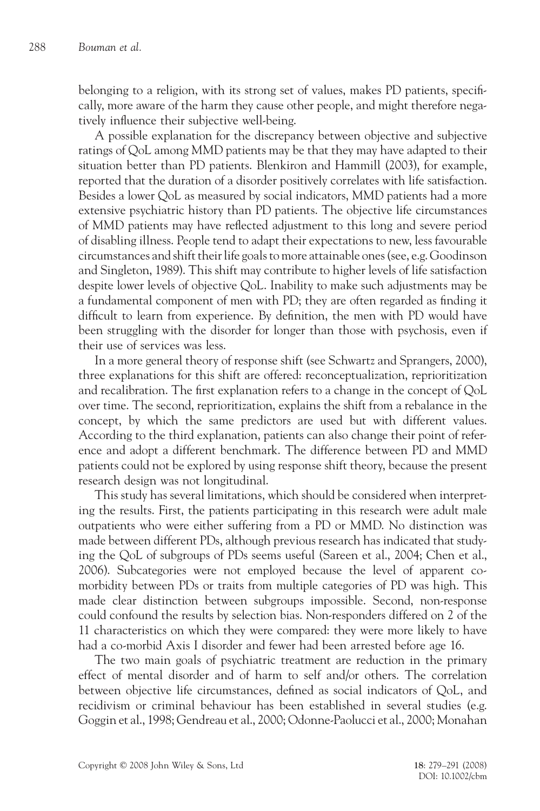belonging to a religion, with its strong set of values, makes PD patients, specifically, more aware of the harm they cause other people, and might therefore negatively influence their subjective well-being.

A possible explanation for the discrepancy between objective and subjective ratings of QoL among MMD patients may be that they may have adapted to their situation better than PD patients. Blenkiron and Hammill (2003), for example, reported that the duration of a disorder positively correlates with life satisfaction. Besides a lower QoL as measured by social indicators, MMD patients had a more extensive psychiatric history than PD patients. The objective life circumstances of MMD patients may have reflected adjustment to this long and severe period of disabling illness. People tend to adapt their expectations to new, less favourable circumstances and shift their life goals to more attainable ones (see, e.g. Goodinson and Singleton, 1989). This shift may contribute to higher levels of life satisfaction despite lower levels of objective QoL. Inability to make such adjustments may be a fundamental component of men with PD; they are often regarded as finding it difficult to learn from experience. By definition, the men with PD would have been struggling with the disorder for longer than those with psychosis, even if their use of services was less.

In a more general theory of response shift (see Schwartz and Sprangers, 2000), three explanations for this shift are offered: reconceptualization, reprioritization and recalibration. The first explanation refers to a change in the concept of QoL over time. The second, reprioritization, explains the shift from a rebalance in the concept, by which the same predictors are used but with different values. According to the third explanation, patients can also change their point of reference and adopt a different benchmark. The difference between PD and MMD patients could not be explored by using response shift theory, because the present research design was not longitudinal.

This study has several limitations, which should be considered when interpreting the results. First, the patients participating in this research were adult male outpatients who were either suffering from a PD or MMD. No distinction was made between different PDs, although previous research has indicated that studying the QoL of subgroups of PDs seems useful (Sareen et al., 2004; Chen et al., 2006). Subcategories were not employed because the level of apparent comorbidity between PDs or traits from multiple categories of PD was high. This made clear distinction between subgroups impossible. Second, non-response could confound the results by selection bias. Non-responders differed on 2 of the 11 characteristics on which they were compared: they were more likely to have had a co-morbid Axis I disorder and fewer had been arrested before age 16.

The two main goals of psychiatric treatment are reduction in the primary effect of mental disorder and of harm to self and/or others. The correlation between objective life circumstances, defined as social indicators of  $QoL$ , and recidivism or criminal behaviour has been established in several studies (e.g. Goggin et al., 1998; Gendreau et al., 2000; Odonne-Paolucci et al., 2000; Monahan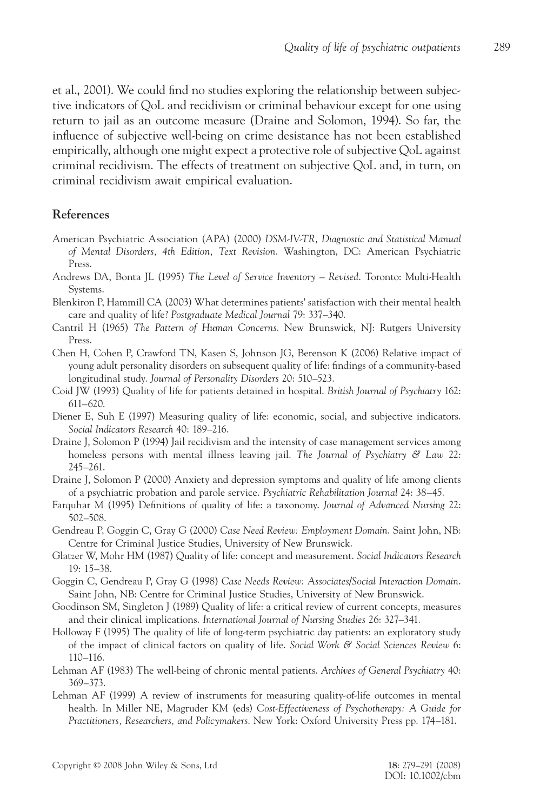et al., 2001). We could find no studies exploring the relationship between subjective indicators of QoL and recidivism or criminal behaviour except for one using return to jail as an outcome measure (Draine and Solomon, 1994). So far, the influence of subjective well-being on crime desistance has not been established empirically, although one might expect a protective role of subjective QoL against criminal recidivism. The effects of treatment on subjective QoL and, in turn, on criminal recidivism await empirical evaluation.

#### **References**

- American Psychiatric Association (APA) (2000) *DSM-IV-TR, Diagnostic and Statistical Manual of Mental Disorders, 4th Edition, Text Revision*. Washington, DC: American Psychiatric Press.
- Andrews DA, Bonta JL (1995) *The Level of Service Inventory Revised*. Toronto: Multi-Health Systems.
- Blenkiron P, Hammill CA (2003) What determines patients' satisfaction with their mental health care and quality of life? *Postgraduate Medical Journal* 79: 337–340.
- Cantril H (1965) *The Pattern of Human Concerns*. New Brunswick, NJ: Rutgers University Press.
- Chen H, Cohen P, Crawford TN, Kasen S, Johnson JG, Berenson K (2006) Relative impact of young adult personality disorders on subsequent quality of life: findings of a community-based longitudinal study. *Journal of Personality Disorders* 20: 510–523.
- Coid JW (1993) Quality of life for patients detained in hospital. *British Journal of Psychiatry* 162: 611–620.
- Diener E, Suh E (1997) Measuring quality of life: economic, social, and subjective indicators. *Social Indicators Research* 40: 189–216.
- Draine J, Solomon P (1994) Jail recidivism and the intensity of case management services among homeless persons with mental illness leaving jail. *The Journal of Psychiatry & Law* 22: 245–261.
- Draine J, Solomon P (2000) Anxiety and depression symptoms and quality of life among clients of a psychiatric probation and parole service. *Psychiatric Rehabilitation Journal* 24: 38–45.
- Farquhar M (1995) Definitions of quality of life: a taxonomy. *Journal of Advanced Nursing* 22: 502–508.
- Gendreau P, Goggin C, Gray G (2000) *Case Need Review: Employment Domain*. Saint John, NB: Centre for Criminal Justice Studies, University of New Brunswick.
- Glatzer W, Mohr HM (1987) Quality of life: concept and measurement. *Social Indicators Research* 19: 15–38.
- Goggin C, Gendreau P, Gray G (1998) *Case Needs Review: Associates/Social Interaction Domain*. Saint John, NB: Centre for Criminal Justice Studies, University of New Brunswick.
- Goodinson SM, Singleton J (1989) Quality of life: a critical review of current concepts, measures and their clinical implications. *International Journal of Nursing Studies* 26: 327–341.
- Holloway F (1995) The quality of life of long-term psychiatric day patients: an exploratory study of the impact of clinical factors on quality of life. *Social Work & Social Sciences Review* 6: 110–116.
- Lehman AF (1983) The well-being of chronic mental patients. *Archives of General Psychiatry* 40: 369–373.
- Lehman AF (1999) A review of instruments for measuring quality-of-life outcomes in mental health. In Miller NE, Magruder KM (eds) *Cost-Effectiveness of Psychotherapy: A Guide for Practitioners, Researchers, and Policymakers*. New York: Oxford University Press pp. 174–181.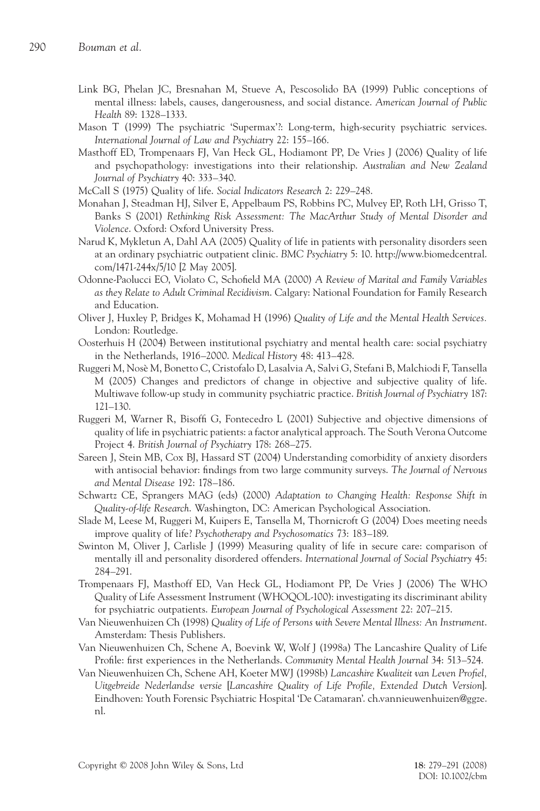- Link BG, Phelan JC, Bresnahan M, Stueve A, Pescosolido BA (1999) Public conceptions of mental illness: labels, causes, dangerousness, and social distance. *American Journal of Public Health* 89: 1328–1333.
- Mason T (1999) The psychiatric 'Supermax'?: Long-term, high-security psychiatric services. *International Journal of Law and Psychiatry* 22: 155–166.
- Masthoff ED, Trompenaars FJ, Van Heck GL, Hodiamont PP, De Vries J (2006) Quality of life and psychopathology: investigations into their relationship. *Australian and New Zealand Journal of Psychiatry* 40: 333–340.
- McCall S (1975) Quality of life. *Social Indicators Research* 2: 229–248.
- Monahan J, Steadman HJ, Silver E, Appelbaum PS, Robbins PC, Mulvey EP, Roth LH, Grisso T, Banks S (2001) *Rethinking Risk Assessment: The MacArthur Study of Mental Disorder and Violence*. Oxford: Oxford University Press.
- Narud K, Mykletun A, Dahl AA (2005) Quality of life in patients with personality disorders seen at an ordinary psychiatric outpatient clinic. *BMC Psychiatry* 5: 10. http://www.biomedcentral. com/1471-244x/5/10 [2 May 2005].
- Odonne-Paolucci EO, Violato C, Schofield MA (2000) *A Review of Marital and Family Variables as they Relate to Adult Criminal Recidivism*. Calgary: National Foundation for Family Research and Education.
- Oliver J, Huxley P, Bridges K, Mohamad H (1996) *Quality of Life and the Mental Health Services.* London: Routledge.
- Oosterhuis H (2004) Between institutional psychiatry and mental health care: social psychiatry in the Netherlands, 1916–2000. *Medical History* 48: 413–428.
- Ruggeri M, Nosè M, Bonetto C, Cristofalo D, Lasalvia A, Salvi G, Stefani B, Malchiodi F, Tansella M (2005) Changes and predictors of change in objective and subjective quality of life. Multiwave follow-up study in community psychiatric practice. *British Journal of Psychiatry* 187: 121–130.
- Ruggeri M, Warner R, Bisoffi G, Fontecedro L (2001) Subjective and objective dimensions of quality of life in psychiatric patients: a factor analytical approach. The South Verona Outcome Project 4. *British Journal of Psychiatry* 178: 268–275.
- Sareen J, Stein MB, Cox BJ, Hassard ST (2004) Understanding comorbidity of anxiety disorders with antisocial behavior: findings from two large community surveys. *The Journal of Nervous and Mental Disease* 192: 178–186.
- Schwartz CE, Sprangers MAG (eds) (2000) *Adaptation to Changing Health: Response Shift in Quality-of-life Research*. Washington, DC: American Psychological Association.
- Slade M, Leese M, Ruggeri M, Kuipers E, Tansella M, Thornicroft G (2004) Does meeting needs improve quality of life? *Psychotherapy and Psychosomatics* 73: 183–189.
- Swinton M, Oliver J, Carlisle J (1999) Measuring quality of life in secure care: comparison of mentally ill and personality disordered offenders. *International Journal of Social Psychiatry* 45: 284–291.
- Trompenaars FJ, Masthoff ED, Van Heck GL, Hodiamont PP, De Vries J (2006) The WHO Quality of Life Assessment Instrument (WHOQOL-100): investigating its discriminant ability for psychiatric outpatients. *European Journal of Psychological Assessment* 22: 207–215.
- Van Nieuwenhuizen Ch (1998) *Quality of Life of Persons with Severe Mental Illness: An Instrument*. Amsterdam: Thesis Publishers.
- Van Nieuwenhuizen Ch, Schene A, Boevink W, Wolf J (1998a) The Lancashire Quality of Life Profile: first experiences in the Netherlands. *Community Mental Health Journal* 34: 513–524.
- Van Nieuwenhuizen Ch, Schene AH, Koeter MWJ (1998b) *Lancashire Kwaliteit van Leven Profiel*, *Uitgebreide Nederlandse versie* [*Lancashire Quality of Life Profi le, Extended Dutch Version*]. Eindhoven: Youth Forensic Psychiatric Hospital 'De Catamaran'. ch.vannieuwenhuizen@ggze. nl.